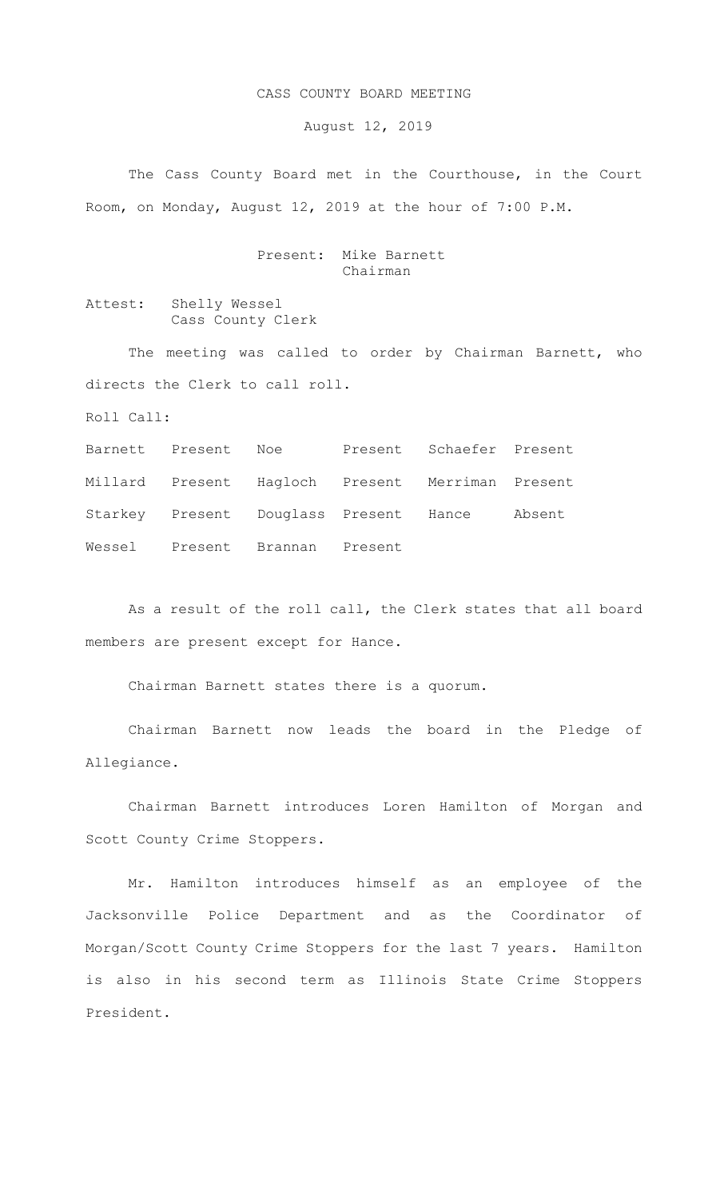## CASS COUNTY BOARD MEETING

August 12, 2019

The Cass County Board met in the Courthouse, in the Court Room, on Monday, August 12, 2019 at the hour of 7:00 P.M.

## Present: Mike Barnett Chairman

Attest: Shelly Wessel Cass County Clerk

The meeting was called to order by Chairman Barnett, who directs the Clerk to call roll.

Roll Call:

Barnett Present Noe Present Schaefer Present Millard Present Hagloch Present Merriman Present Starkey Present Douglass Present Hance Absent Wessel Present Brannan Present

As a result of the roll call, the Clerk states that all board members are present except for Hance.

Chairman Barnett states there is a quorum.

Chairman Barnett now leads the board in the Pledge of Allegiance.

Chairman Barnett introduces Loren Hamilton of Morgan and Scott County Crime Stoppers.

Mr. Hamilton introduces himself as an employee of the Jacksonville Police Department and as the Coordinator of Morgan/Scott County Crime Stoppers for the last 7 years. Hamilton is also in his second term as Illinois State Crime Stoppers President.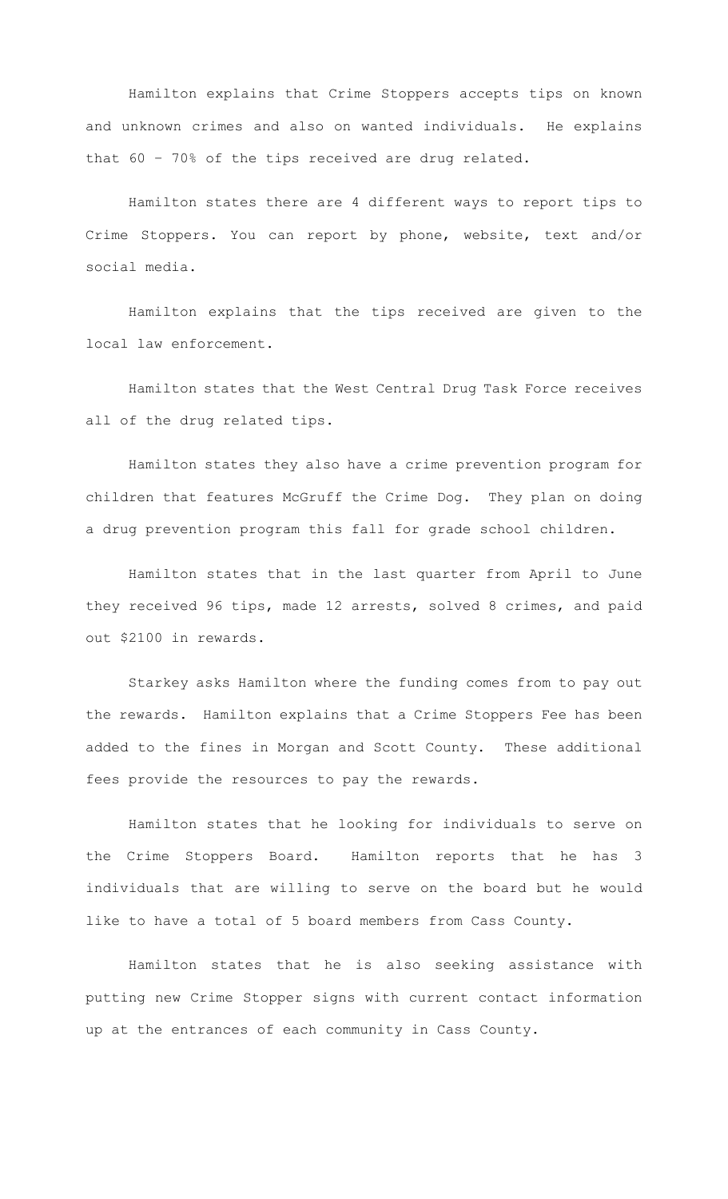Hamilton explains that Crime Stoppers accepts tips on known and unknown crimes and also on wanted individuals. He explains that 60 – 70% of the tips received are drug related.

Hamilton states there are 4 different ways to report tips to Crime Stoppers. You can report by phone, website, text and/or social media.

Hamilton explains that the tips received are given to the local law enforcement.

Hamilton states that the West Central Drug Task Force receives all of the drug related tips.

Hamilton states they also have a crime prevention program for children that features McGruff the Crime Dog. They plan on doing a drug prevention program this fall for grade school children.

Hamilton states that in the last quarter from April to June they received 96 tips, made 12 arrests, solved 8 crimes, and paid out \$2100 in rewards.

Starkey asks Hamilton where the funding comes from to pay out the rewards. Hamilton explains that a Crime Stoppers Fee has been added to the fines in Morgan and Scott County. These additional fees provide the resources to pay the rewards.

Hamilton states that he looking for individuals to serve on the Crime Stoppers Board. Hamilton reports that he has 3 individuals that are willing to serve on the board but he would like to have a total of 5 board members from Cass County.

Hamilton states that he is also seeking assistance with putting new Crime Stopper signs with current contact information up at the entrances of each community in Cass County.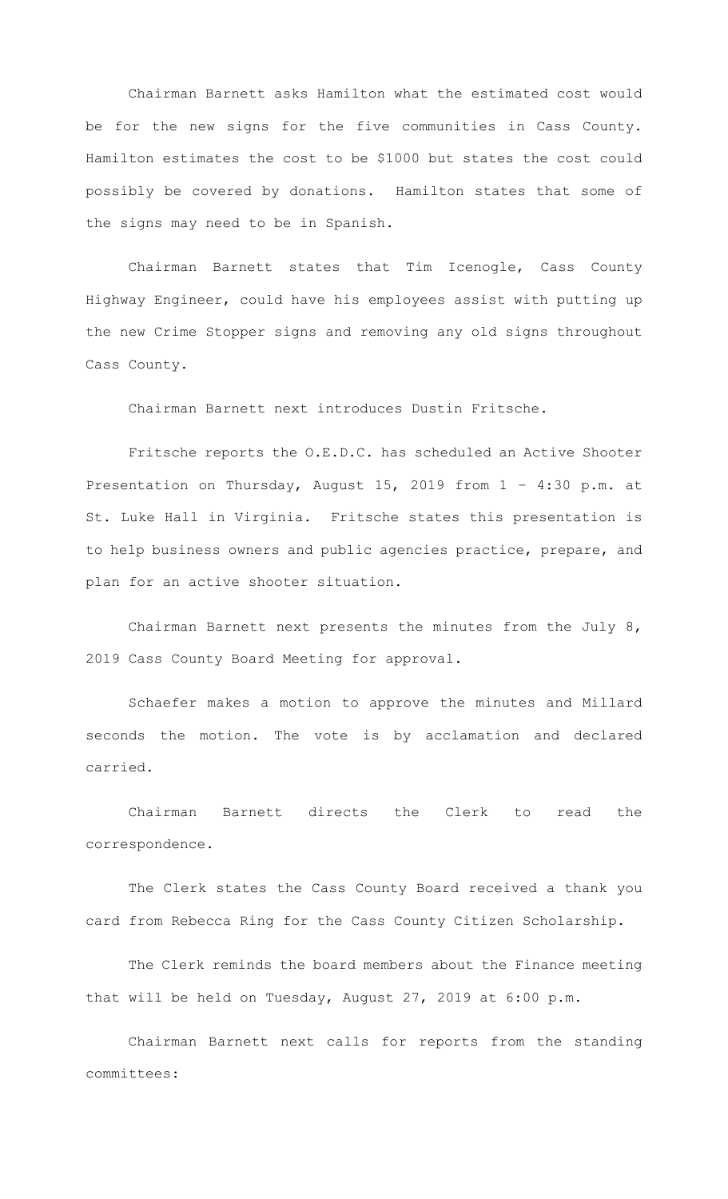Chairman Barnett asks Hamilton what the estimated cost would be for the new signs for the five communities in Cass County. Hamilton estimates the cost to be \$1000 but states the cost could possibly be covered by donations. Hamilton states that some of the signs may need to be in Spanish.

Chairman Barnett states that Tim Icenogle, Cass County Highway Engineer, could have his employees assist with putting up the new Crime Stopper signs and removing any old signs throughout Cass County.

Chairman Barnett next introduces Dustin Fritsche.

Fritsche reports the O.E.D.C. has scheduled an Active Shooter Presentation on Thursday, August 15, 2019 from 1 – 4:30 p.m. at St. Luke Hall in Virginia. Fritsche states this presentation is to help business owners and public agencies practice, prepare, and plan for an active shooter situation.

Chairman Barnett next presents the minutes from the July 8, 2019 Cass County Board Meeting for approval.

Schaefer makes a motion to approve the minutes and Millard seconds the motion. The vote is by acclamation and declared carried.

Chairman Barnett directs the Clerk to read the correspondence.

The Clerk states the Cass County Board received a thank you card from Rebecca Ring for the Cass County Citizen Scholarship.

The Clerk reminds the board members about the Finance meeting that will be held on Tuesday, August 27, 2019 at 6:00 p.m.

Chairman Barnett next calls for reports from the standing committees: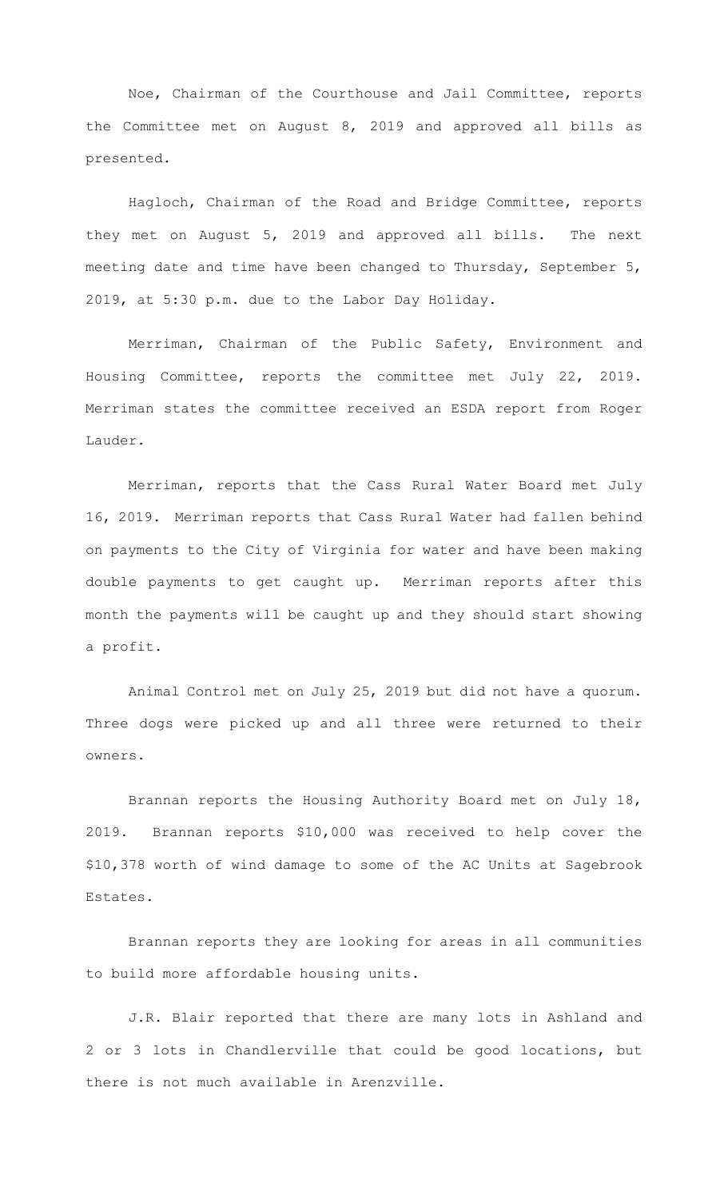Noe, Chairman of the Courthouse and Jail Committee, reports the Committee met on August 8, 2019 and approved all bills as presented.

Hagloch, Chairman of the Road and Bridge Committee, reports they met on August 5, 2019 and approved all bills. The next meeting date and time have been changed to Thursday, September 5, 2019, at 5:30 p.m. due to the Labor Day Holiday.

 Merriman, Chairman of the Public Safety, Environment and Housing Committee, reports the committee met July 22, 2019. Merriman states the committee received an ESDA report from Roger Lauder.

 Merriman, reports that the Cass Rural Water Board met July 16, 2019. Merriman reports that Cass Rural Water had fallen behind on payments to the City of Virginia for water and have been making double payments to get caught up. Merriman reports after this month the payments will be caught up and they should start showing a profit.

Animal Control met on July 25, 2019 but did not have a quorum. Three dogs were picked up and all three were returned to their owners.

Brannan reports the Housing Authority Board met on July 18, 2019. Brannan reports \$10,000 was received to help cover the \$10,378 worth of wind damage to some of the AC Units at Sagebrook Estates.

Brannan reports they are looking for areas in all communities to build more affordable housing units.

J.R. Blair reported that there are many lots in Ashland and 2 or 3 lots in Chandlerville that could be good locations, but there is not much available in Arenzville.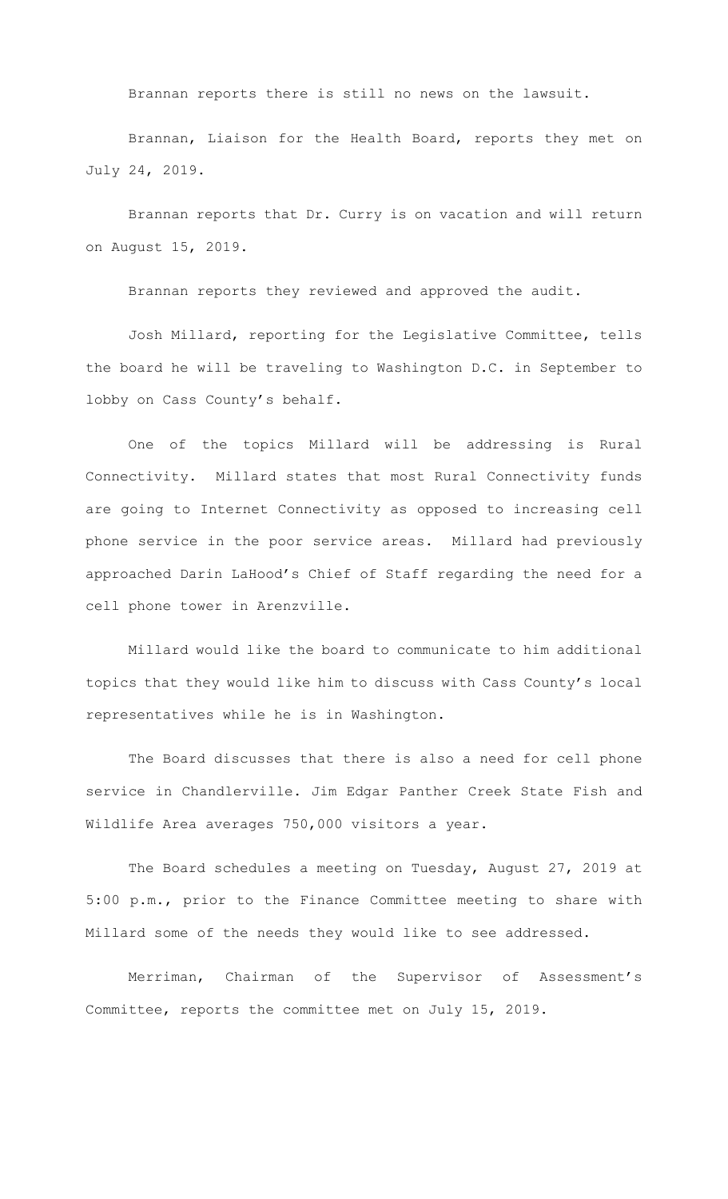Brannan reports there is still no news on the lawsuit.

Brannan, Liaison for the Health Board, reports they met on July 24, 2019.

Brannan reports that Dr. Curry is on vacation and will return on August 15, 2019.

Brannan reports they reviewed and approved the audit.

Josh Millard, reporting for the Legislative Committee, tells the board he will be traveling to Washington D.C. in September to lobby on Cass County's behalf.

One of the topics Millard will be addressing is Rural Connectivity. Millard states that most Rural Connectivity funds are going to Internet Connectivity as opposed to increasing cell phone service in the poor service areas. Millard had previously approached Darin LaHood's Chief of Staff regarding the need for a cell phone tower in Arenzville.

Millard would like the board to communicate to him additional topics that they would like him to discuss with Cass County's local representatives while he is in Washington.

The Board discusses that there is also a need for cell phone service in Chandlerville. Jim Edgar Panther Creek State Fish and Wildlife Area averages 750,000 visitors a year.

The Board schedules a meeting on Tuesday, August 27, 2019 at 5:00 p.m., prior to the Finance Committee meeting to share with Millard some of the needs they would like to see addressed.

Merriman, Chairman of the Supervisor of Assessment's Committee, reports the committee met on July 15, 2019.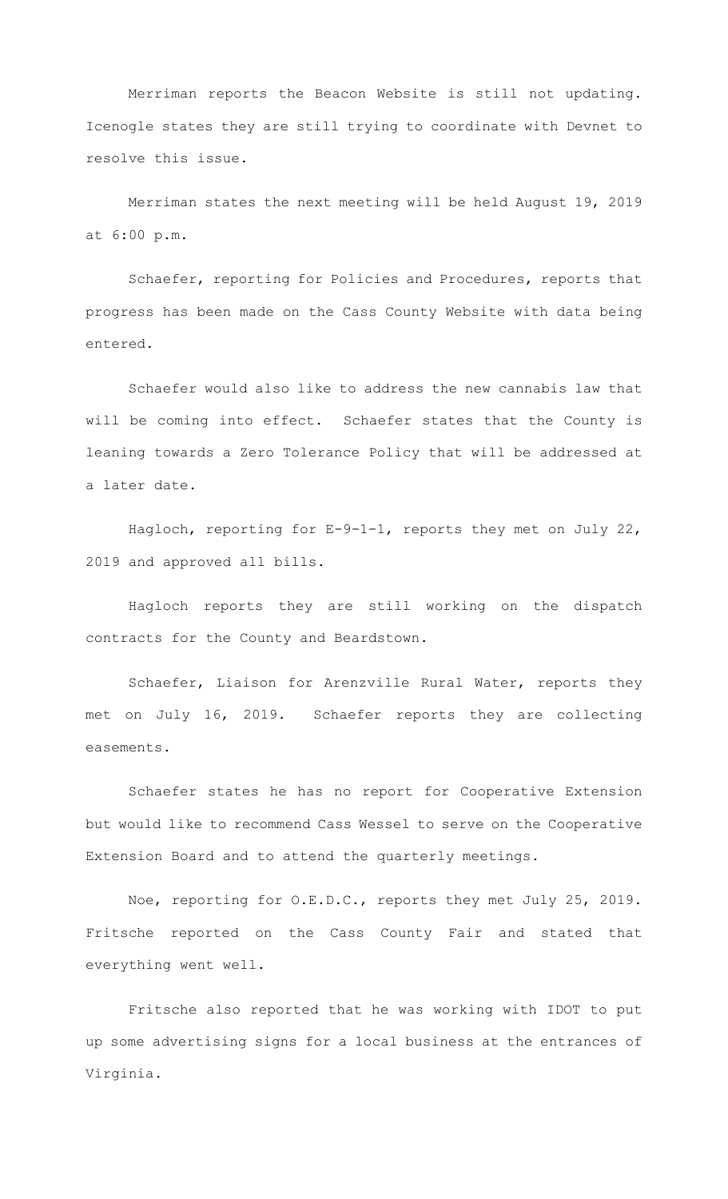Merriman reports the Beacon Website is still not updating. Icenogle states they are still trying to coordinate with Devnet to resolve this issue.

Merriman states the next meeting will be held August 19, 2019 at 6:00 p.m.

Schaefer, reporting for Policies and Procedures, reports that progress has been made on the Cass County Website with data being entered.

Schaefer would also like to address the new cannabis law that will be coming into effect. Schaefer states that the County is leaning towards a Zero Tolerance Policy that will be addressed at a later date.

Hagloch, reporting for E-9-1-1, reports they met on July 22, 2019 and approved all bills.

Hagloch reports they are still working on the dispatch contracts for the County and Beardstown.

Schaefer, Liaison for Arenzville Rural Water, reports they met on July 16, 2019. Schaefer reports they are collecting easements.

Schaefer states he has no report for Cooperative Extension but would like to recommend Cass Wessel to serve on the Cooperative Extension Board and to attend the quarterly meetings.

Noe, reporting for O.E.D.C., reports they met July 25, 2019. Fritsche reported on the Cass County Fair and stated that everything went well.

Fritsche also reported that he was working with IDOT to put up some advertising signs for a local business at the entrances of Virginia.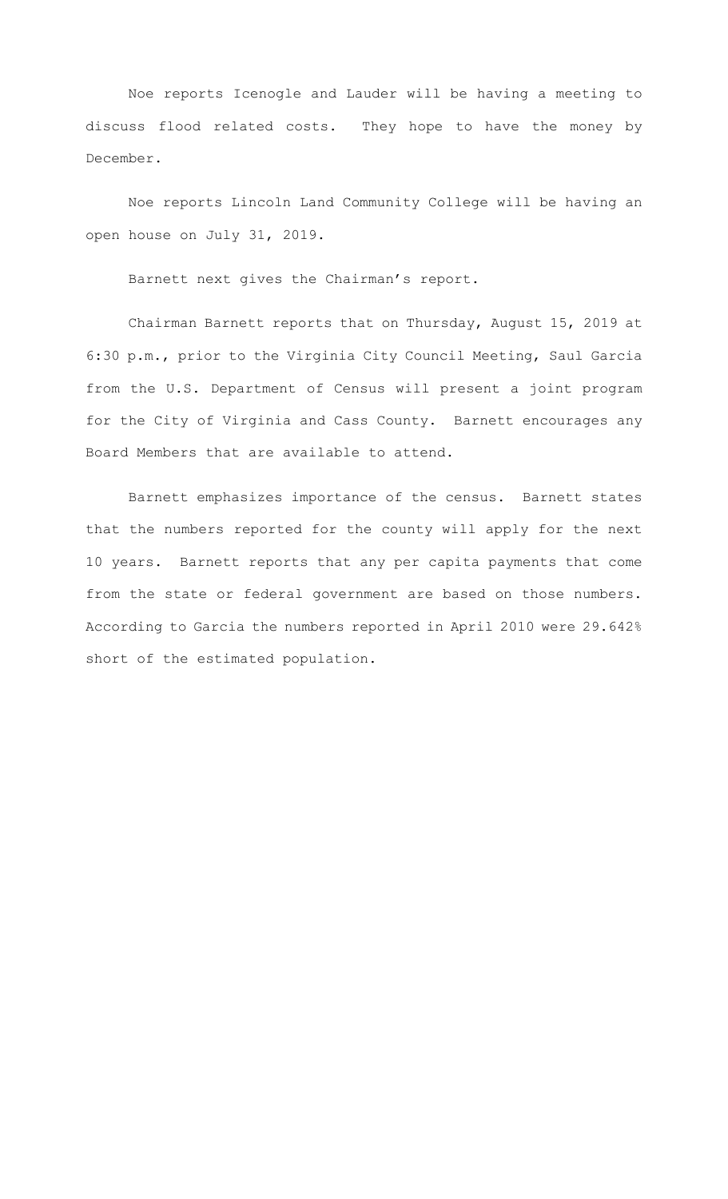Noe reports Icenogle and Lauder will be having a meeting to discuss flood related costs. They hope to have the money by December.

Noe reports Lincoln Land Community College will be having an open house on July 31, 2019.

Barnett next gives the Chairman's report.

Chairman Barnett reports that on Thursday, August 15, 2019 at 6:30 p.m., prior to the Virginia City Council Meeting, Saul Garcia from the U.S. Department of Census will present a joint program for the City of Virginia and Cass County. Barnett encourages any Board Members that are available to attend.

Barnett emphasizes importance of the census. Barnett states that the numbers reported for the county will apply for the next 10 years. Barnett reports that any per capita payments that come from the state or federal government are based on those numbers. According to Garcia the numbers reported in April 2010 were 29.642% short of the estimated population.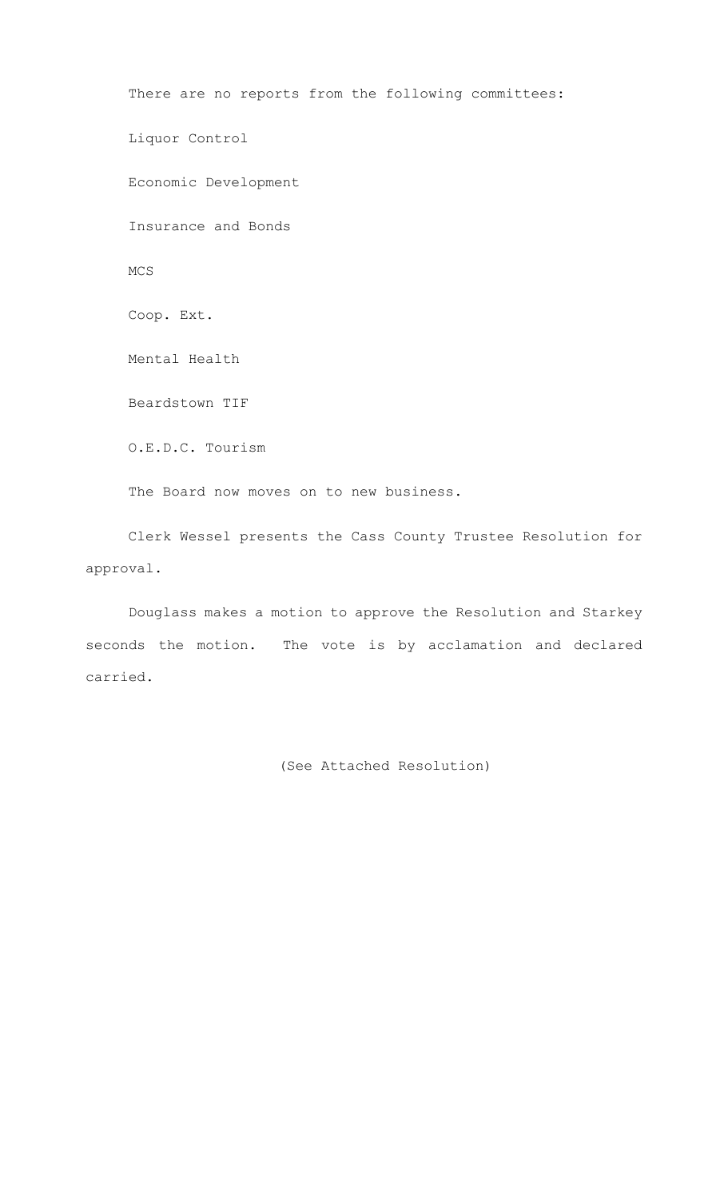There are no reports from the following committees: Liquor Control Economic Development Insurance and Bonds MCS Coop. Ext. Mental Health Beardstown TIF O.E.D.C. Tourism The Board now moves on to new business.

Clerk Wessel presents the Cass County Trustee Resolution for approval.

Douglass makes a motion to approve the Resolution and Starkey seconds the motion. The vote is by acclamation and declared carried.

(See Attached Resolution)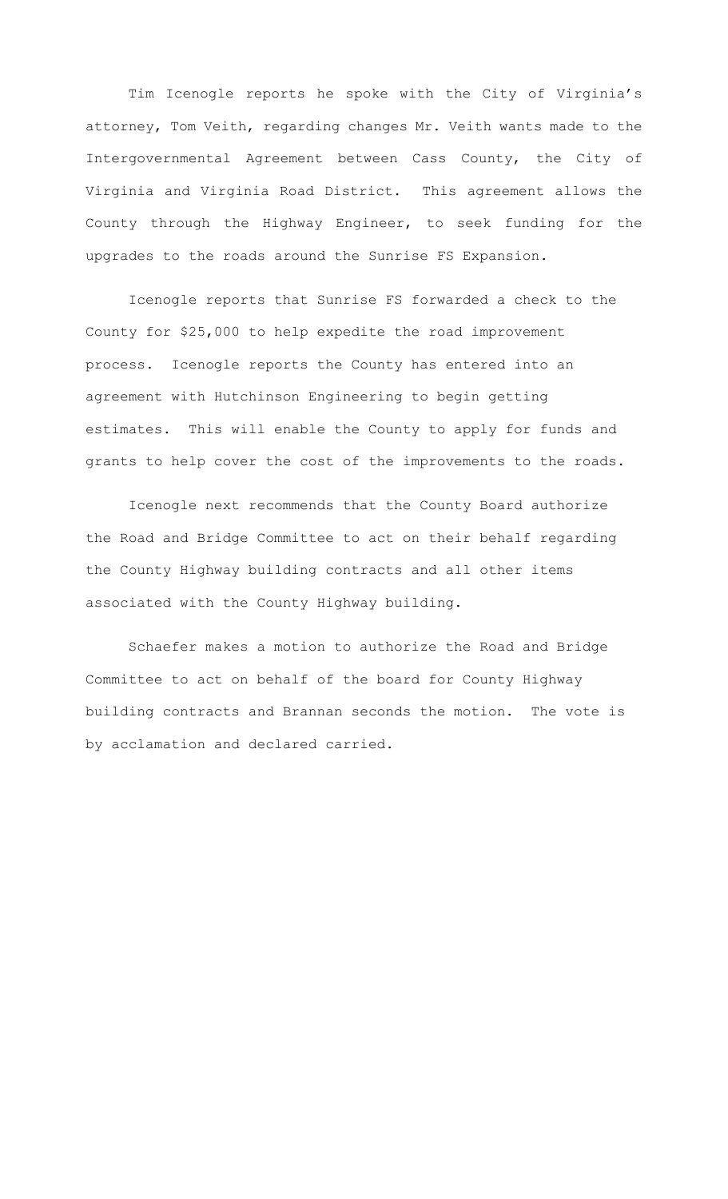Tim Icenogle reports he spoke with the City of Virginia's attorney, Tom Veith, regarding changes Mr. Veith wants made to the Intergovernmental Agreement between Cass County, the City of Virginia and Virginia Road District. This agreement allows the County through the Highway Engineer, to seek funding for the upgrades to the roads around the Sunrise FS Expansion.

Icenogle reports that Sunrise FS forwarded a check to the County for \$25,000 to help expedite the road improvement process. Icenogle reports the County has entered into an agreement with Hutchinson Engineering to begin getting estimates. This will enable the County to apply for funds and grants to help cover the cost of the improvements to the roads.

Icenogle next recommends that the County Board authorize the Road and Bridge Committee to act on their behalf regarding the County Highway building contracts and all other items associated with the County Highway building.

Schaefer makes a motion to authorize the Road and Bridge Committee to act on behalf of the board for County Highway building contracts and Brannan seconds the motion. The vote is by acclamation and declared carried.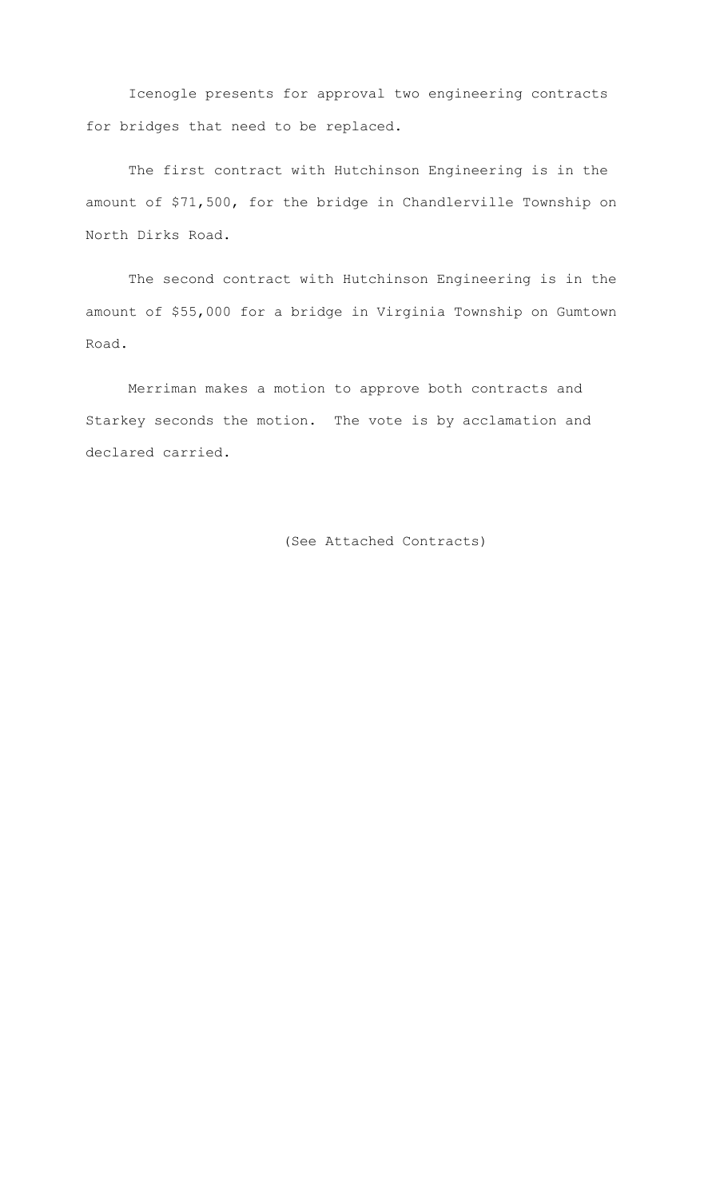Icenogle presents for approval two engineering contracts for bridges that need to be replaced.

The first contract with Hutchinson Engineering is in the amount of \$71,500, for the bridge in Chandlerville Township on North Dirks Road.

The second contract with Hutchinson Engineering is in the amount of \$55,000 for a bridge in Virginia Township on Gumtown Road.

Merriman makes a motion to approve both contracts and Starkey seconds the motion. The vote is by acclamation and declared carried.

(See Attached Contracts)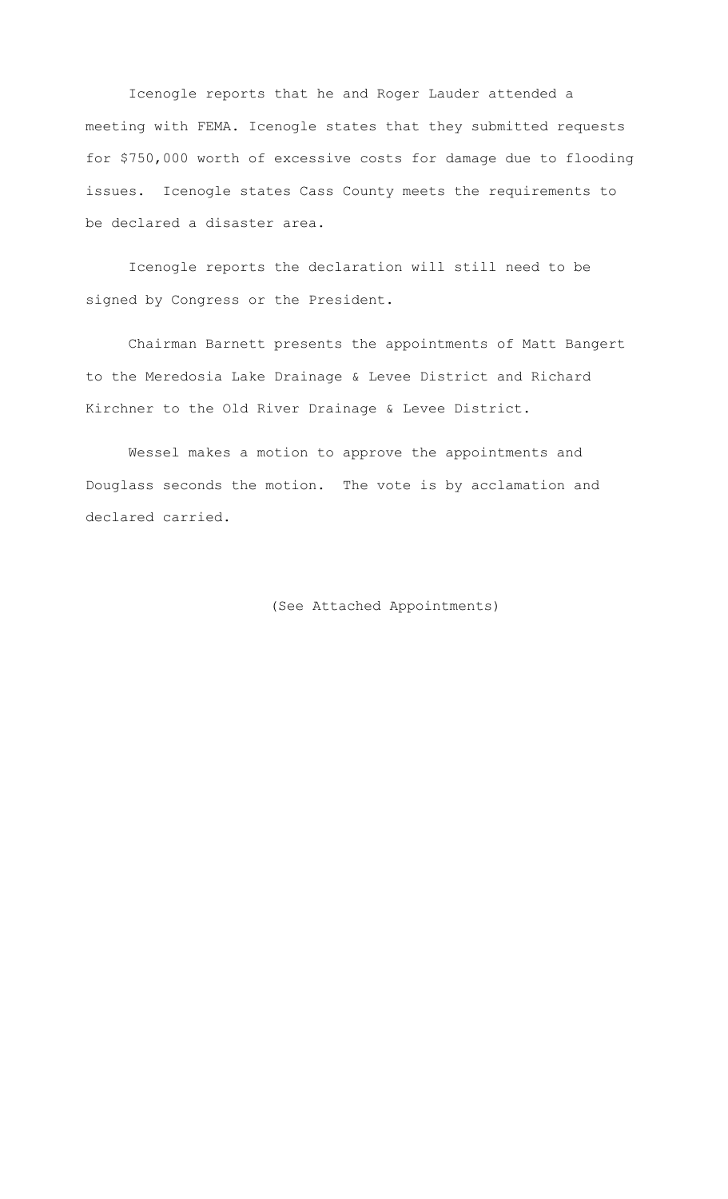Icenogle reports that he and Roger Lauder attended a meeting with FEMA. Icenogle states that they submitted requests for \$750,000 worth of excessive costs for damage due to flooding issues. Icenogle states Cass County meets the requirements to be declared a disaster area.

Icenogle reports the declaration will still need to be signed by Congress or the President.

Chairman Barnett presents the appointments of Matt Bangert to the Meredosia Lake Drainage & Levee District and Richard Kirchner to the Old River Drainage & Levee District.

Wessel makes a motion to approve the appointments and Douglass seconds the motion. The vote is by acclamation and declared carried.

(See Attached Appointments)